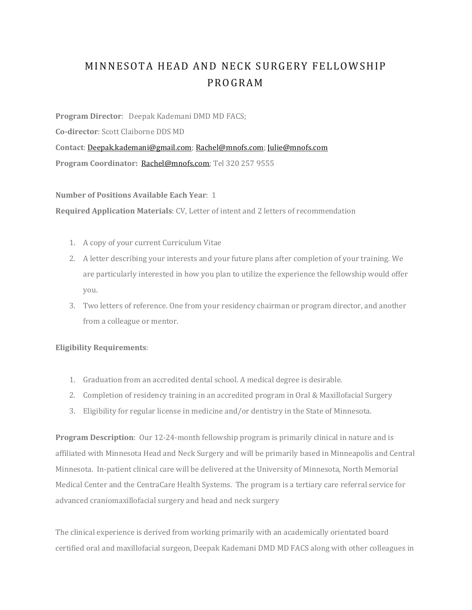## MINNESOTA HEAD AND NECK SURGERY FELLOWSHIP PROGRAM

**Program Director**: Deepak Kademani DMD MD FACS;

**Co‐director**: Scott Claiborne DDS MD

**Contact**: Deepak.kademani@gmail.com; Rachel@mnofs.com; Julie@mnofs.com **Program Coordinator:** Rachel@mnofs.com; Tel 320 257 9555

**Number of Positions Available Each Year**: 1

**Required Application Materials**: CV, Letter of intent and 2 letters of recommendation

- 1. A copy of your current Curriculum Vitae
- 2. A letter describing your interests and your future plans after completion of your training. We are particularly interested in how you plan to utilize the experience the fellowship would offer you.
- 3. Two letters of reference. One from your residency chairman or program director, and another from a colleague or mentor.

## **Eligibility Requirements**:

- 1. Graduation from an accredited dental school. A medical degree is desirable.
- 2. Completion of residency training in an accredited program in Oral & Maxillofacial Surgery
- 3. Eligibility for regular license in medicine and/or dentistry in the State of Minnesota.

**Program Description**: Our 12-24-month fellowship program is primarily clinical in nature and is affiliated with Minnesota Head and Neck Surgery and will be primarily based in Minneapolis and Central Minnesota. In-patient clinical care will be delivered at the University of Minnesota, North Memorial Medical Center and the CentraCare Health Systems. The program is a tertiary care referral service for advanced craniomaxillofacial surgery and head and neck surgery

The clinical experience is derived from working primarily with an academically orientated board certified oral and maxillofacial surgeon, Deepak Kademani DMD MD FACS along with other colleagues in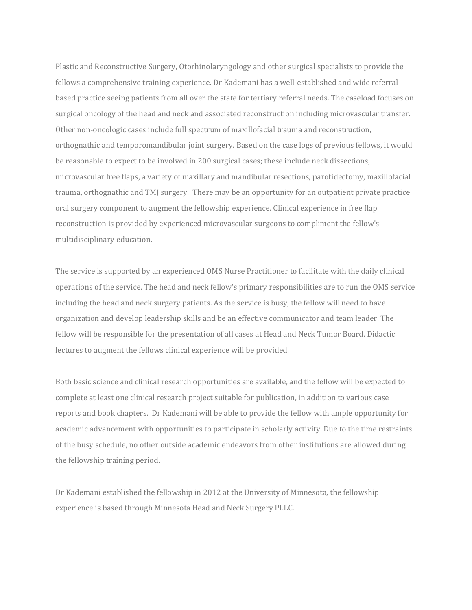Plastic and Reconstructive Surgery, Otorhinolaryngology and other surgical specialists to provide the fellows a comprehensive training experience. Dr Kademani has a well-established and wide referralbased practice seeing patients from all over the state for tertiary referral needs. The caseload focuses on surgical oncology of the head and neck and associated reconstruction including microvascular transfer. Other non-oncologic cases include full spectrum of maxillofacial trauma and reconstruction, orthognathic and temporomandibular joint surgery. Based on the case logs of previous fellows, it would be reasonable to expect to be involved in 200 surgical cases; these include neck dissections, microvascular free flaps, a variety of maxillary and mandibular resections, parotidectomy, maxillofacial trauma, orthognathic and TMJ surgery. There may be an opportunity for an outpatient private practice oral surgery component to augment the fellowship experience. Clinical experience in free flap reconstruction is provided by experienced microvascular surgeons to compliment the fellow's multidisciplinary education.

The service is supported by an experienced OMS Nurse Practitioner to facilitate with the daily clinical operations of the service. The head and neck fellow's primary responsibilities are to run the OMS service including the head and neck surgery patients. As the service is busy, the fellow will need to have organization and develop leadership skills and be an effective communicator and team leader. The fellow will be responsible for the presentation of all cases at Head and Neck Tumor Board. Didactic lectures to augment the fellows clinical experience will be provided.

Both basic science and clinical research opportunities are available, and the fellow will be expected to complete at least one clinical research project suitable for publication, in addition to various case reports and book chapters. Dr Kademani will be able to provide the fellow with ample opportunity for academic advancement with opportunities to participate in scholarly activity. Due to the time restraints of the busy schedule, no other outside academic endeavors from other institutions are allowed during the fellowship training period.

Dr Kademani established the fellowship in 2012 at the University of Minnesota, the fellowship experience is based through Minnesota Head and Neck Surgery PLLC.